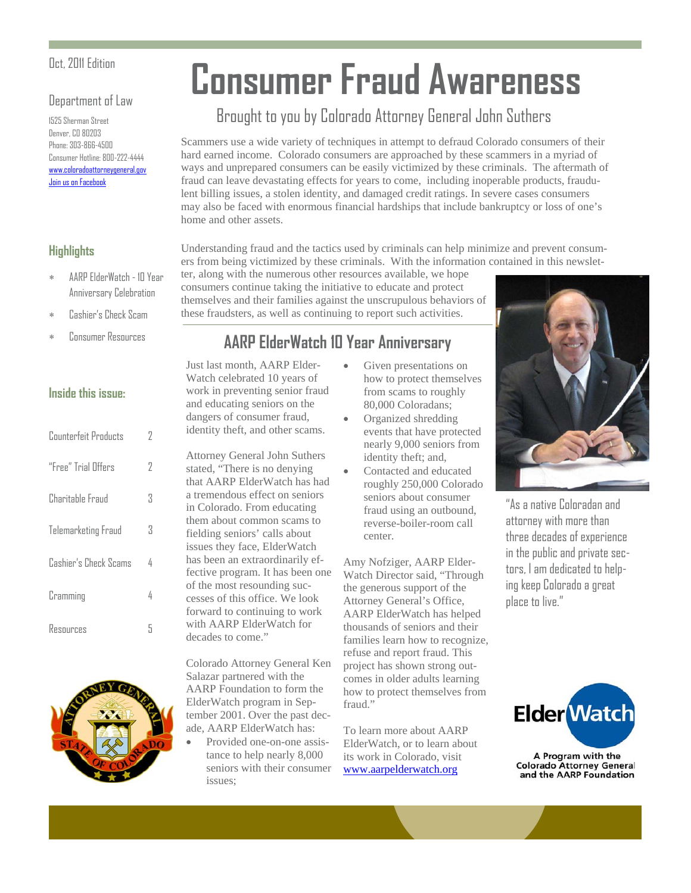#### Department of Law

1525 Sherman Street Denver, CO 80203 Phone: 303-866-4500 Consumer Hotline: 800-222-4444 www.coloradoattorneygeneral.gov [Join us on Facebook](http://www.facebook.com/ColoradoAttorneyGeneral)

#### **Highlights**

- AARP ElderWatch 10 Year Anniversary Celebration
- Cashier's Check Scam
- 

#### **Inside this issue:**

| Counterfeit Products  | 7 |
|-----------------------|---|
| "Free" Trial Offers   | 7 |
| Charitable Fraud      | Κ |
| Telemarketing Fraud   | Κ |
| Cashier's Check Scams | 4 |
| Cramming              | 4 |
| Resources             | 5 |



# **Consumer Fraud Awareness**

## Brought to you by Colorado Attorney General John Suthers

Scammers use a wide variety of techniques in attempt to defraud Colorado consumers of their hard earned income. Colorado consumers are approached by these scammers in a myriad of ways and unprepared consumers can be easily victimized by these criminals. The aftermath of fraud can leave devastating effects for years to come, including inoperable products, fraudulent billing issues, a stolen identity, and damaged credit ratings. In severe cases consumers may also be faced with enormous financial hardships that include bankruptcy or loss of one's home and other assets.

Understanding fraud and the tactics used by criminals can help minimize and prevent consumers from being victimized by these criminals. With the information contained in this newslet-

ter, along with the numerous other resources available, we hope consumers continue taking the initiative to educate and protect themselves and their families against the unscrupulous behaviors of these fraudsters, as well as continuing to report such activities.

## Consumer Resources **AARP ElderWatch 10 Year Anniversary**

Just last month, AARP Elder-Watch celebrated 10 years of work in preventing senior fraud and educating seniors on the dangers of consumer fraud, identity theft, and other scams.

Attorney General John Suthers stated, "There is no denying that AARP ElderWatch has had a tremendous effect on seniors in Colorado. From educating them about common scams to fielding seniors' calls about issues they face, ElderWatch has been an extraordinarily effective program. It has been one of the most resounding successes of this office. We look forward to continuing to work with AARP ElderWatch for decades to come."

Colorado Attorney General Ken Salazar partnered with the AARP Foundation to form the ElderWatch program in September 2001. Over the past decade, AARP ElderWatch has:

 Provided one-on-one assistance to help nearly 8,000 seniors with their consumer issues;

- Given presentations on how to protect themselves from scams to roughly 80,000 Coloradans;
- Organized shredding events that have protected nearly 9,000 seniors from identity theft; and,
- Contacted and educated roughly 250,000 Colorado seniors about consumer fraud using an outbound, reverse-boiler-room call center.

Amy Nofziger, AARP Elder-Watch Director said, "Through the generous support of the Attorney General's Office, AARP ElderWatch has helped thousands of seniors and their families learn how to recognize, refuse and report fraud. This project has shown strong outcomes in older adults learning how to protect themselves from fraud."

To learn more about AARP ElderWatch, or to learn about its work in Colorado, visit www.aarpelderwatch.org



"As a native Coloradan and attorney with more than three decades of experience in the public and private sectors, I am dedicated to helping keep Colorado a great place to live."



A Program with the **Colorado Attorney General** and the AARP Foundation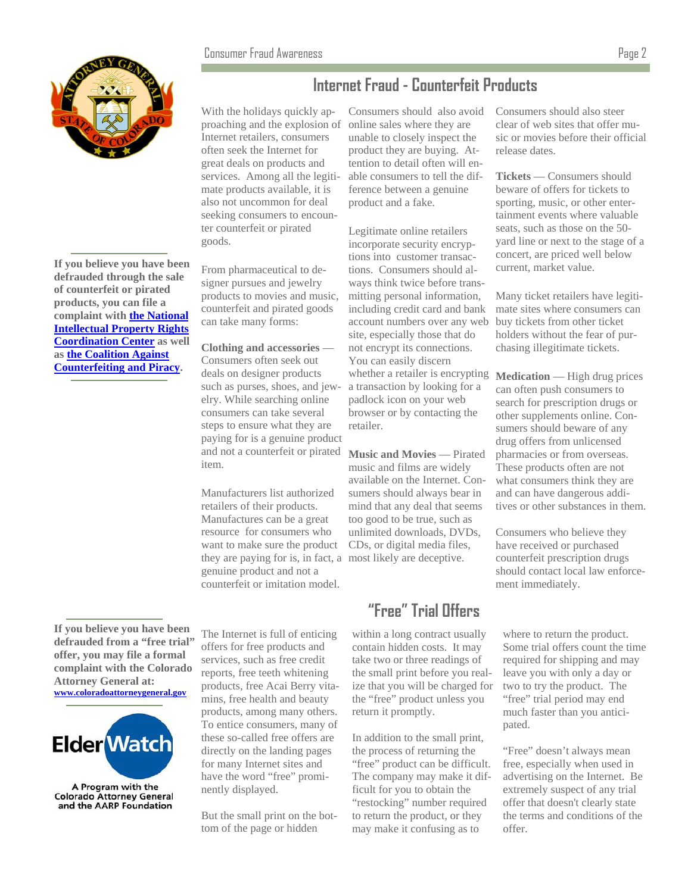

**If you believe you have been defrauded through the sale of counterfeit or pirated products, you can file a complaint with [the National](http://www.iprcenter.gov/)  [Intellectual Property Rights](http://www.iprcenter.gov/) [Coordination Center](http://www.iprcenter.gov/) as well as [the Coalition Against](http://www.theglobalipcenter.com/pages/coalition-against-counterfeiting-and-piracy)  [Counterfeiting and Piracy.](http://www.theglobalipcenter.com/pages/coalition-against-counterfeiting-and-piracy)**

## **Internet Fraud - Counterfeit Products**

With the holidays quickly approaching and the explosion of Internet retailers, consumers often seek the Internet for great deals on products and services. Among all the legitimate products available, it is also not uncommon for deal seeking consumers to encounter counterfeit or pirated goods.

From pharmaceutical to designer pursues and jewelry products to movies and music, counterfeit and pirated goods can take many forms:

**Clothing and accessories** — Consumers often seek out deals on designer products such as purses, shoes, and jewelry. While searching online consumers can take several steps to ensure what they are paying for is a genuine product and not a counterfeit or pirated item.

Manufacturers list authorized retailers of their products. Manufactures can be a great resource for consumers who want to make sure the product they are paying for is, in fact, a most likely are deceptive. genuine product and not a counterfeit or imitation model.

Consumers should also avoid online sales where they are unable to closely inspect the product they are buying. Attention to detail often will enable consumers to tell the difference between a genuine product and a fake.

Legitimate online retailers incorporate security encryptions into customer transactions. Consumers should always think twice before transmitting personal information, including credit card and bank account numbers over any web site, especially those that do not encrypt its connections. You can easily discern whether a retailer is encrypting a transaction by looking for a padlock icon on your web browser or by contacting the retailer.

**Music and Movies** — Pirated music and films are widely available on the Internet. Consumers should always bear in mind that any deal that seems too good to be true, such as unlimited downloads, DVDs, CDs, or digital media files,

## **"Free" Trial Offers**

within a long contract usually contain hidden costs. It may take two or three readings of the small print before you realize that you will be charged for the "free" product unless you return it promptly.

In addition to the small print, the process of returning the "free" product can be difficult. The company may make it difficult for you to obtain the "restocking" number required to return the product, or they may make it confusing as to

Consumers should also steer clear of web sites that offer music or movies before their official release dates.

**Tickets** — Consumers should beware of offers for tickets to sporting, music, or other entertainment events where valuable seats, such as those on the 50 yard line or next to the stage of a concert, are priced well below current, market value.

Many ticket retailers have legitimate sites where consumers can buy tickets from other ticket holders without the fear of purchasing illegitimate tickets.

**Medication** — High drug prices can often push consumers to search for prescription drugs or other supplements online. Consumers should beware of any drug offers from unlicensed pharmacies or from overseas. These products often are not what consumers think they are and can have dangerous additives or other substances in them.

Consumers who believe they have received or purchased counterfeit prescription drugs should contact local law enforcement immediately.

where to return the product. Some trial offers count the time required for shipping and may leave you with only a day or two to try the product. The "free" trial period may end much faster than you anticipated.

"Free" doesn't always mean free, especially when used in advertising on the Internet. Be extremely suspect of any trial offer that doesn't clearly state the terms and conditions of the offer.

**If you believe you have been defrauded from a "free trial" offer, you may file a formal complaint with the Colorado Attorney General at: www.coloradoattorneygeneral.gov**



The Internet is full of enticing offers for free products and services, such as free credit reports, free teeth whitening products, free Acai Berry vitamins, free health and beauty products, among many others. To entice consumers, many of these so-called free offers are directly on the landing pages for many Internet sites and have the word "free" prominently displayed.

But the small print on the bottom of the page or hidden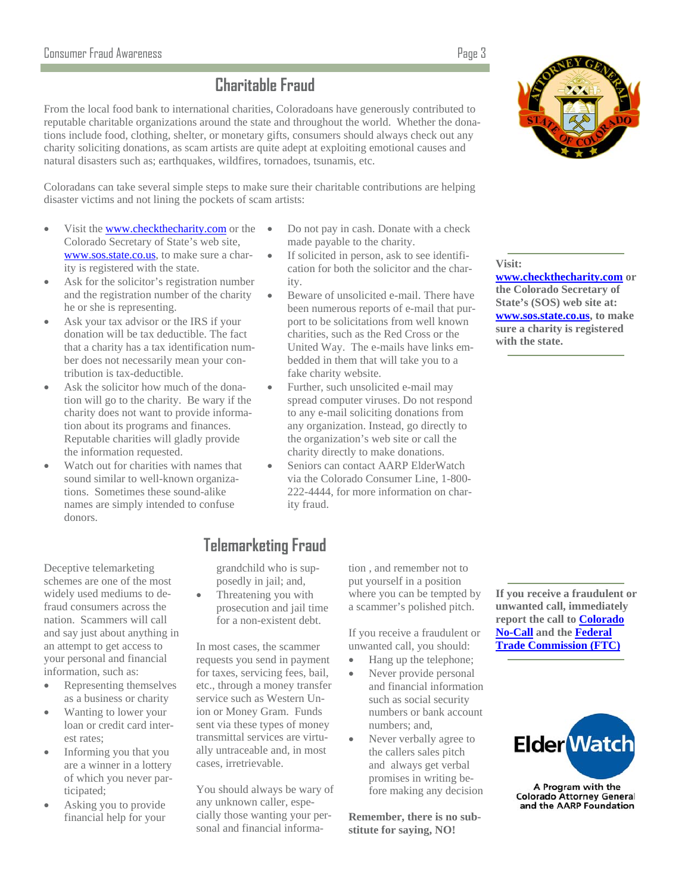## **Charitable Fraud**

From the local food bank to international charities, Coloradoans have generously contributed to reputable charitable organizations around the state and throughout the world. Whether the donations include food, clothing, shelter, or monetary gifts, consumers should always check out any charity soliciting donations, as scam artists are quite adept at exploiting emotional causes and natural disasters such as; earthquakes, wildfires, tornadoes, tsunamis, etc.

Coloradans can take several simple steps to make sure their charitable contributions are helping disaster victims and not lining the pockets of scam artists:

- Visit the www.checkthecharity.com or the Colorado Secretary of State's web site, www.sos.state.co.us, to make sure a charity is registered with the state.
- Ask for the solicitor's registration number and the registration number of the charity he or she is representing.
- Ask your tax advisor or the IRS if your donation will be tax deductible. The fact that a charity has a tax identification number does not necessarily mean your contribution is tax-deductible.
- Ask the solicitor how much of the donation will go to the charity. Be wary if the charity does not want to provide information about its programs and finances. Reputable charities will gladly provide the information requested.
- Watch out for charities with names that sound similar to well-known organizations. Sometimes these sound-alike names are simply intended to confuse donors.

Deceptive telemarketing schemes are one of the most widely used mediums to defraud consumers across the nation. Scammers will call and say just about anything in an attempt to get access to your personal and financial information, such as:

- Representing themselves as a business or charity
- Wanting to lower your loan or credit card interest rates;
- Informing you that you are a winner in a lottery of which you never participated;
- Asking you to provide financial help for your
- Do not pay in cash. Donate with a check made payable to the charity.
- If solicited in person, ask to see identification for both the solicitor and the charity.
- Beware of unsolicited e-mail. There have been numerous reports of e-mail that purport to be solicitations from well known charities, such as the Red Cross or the United Way. The e-mails have links embedded in them that will take you to a fake charity website.
- Further, such unsolicited e-mail may spread computer viruses. Do not respond to any e-mail soliciting donations from any organization. Instead, go directly to the organization's web site or call the charity directly to make donations.
- Seniors can contact AARP ElderWatch via the Colorado Consumer Line, 1-800- 222-4444, for more information on charity fraud.

#### **Visit:**

**www.checkthecharity.com or the Colorado Secretary of State's (SOS) web site at: www.sos.state.co.us, to make sure a charity is registered with the state.** 

## **Telemarketing Fraud**

grandchild who is supposedly in jail; and,

 Threatening you with prosecution and jail time for a non-existent debt.

In most cases, the scammer requests you send in payment for taxes, servicing fees, bail, etc., through a money transfer service such as Western Union or Money Gram. Funds sent via these types of money transmittal services are virtually untraceable and, in most cases, irretrievable.

You should always be wary of any unknown caller, especially those wanting your personal and financial information , and remember not to put yourself in a position where you can be tempted by a scammer's polished pitch.

If you receive a fraudulent or unwanted call, you should:

- Hang up the telephone;
- Never provide personal and financial information such as social security numbers or bank account numbers; and,
- Never verbally agree to the callers sales pitch and always get verbal promises in writing before making any decision

**Remember, there is no substitute for saying, NO!**

**If you receive a fraudulent or unwanted call, immediately report the call to [Colorado](http://www.coloradonocall.com/)  [No-Call](http://www.coloradonocall.com/) and the [Federal](http://www.ftc.gov/) [Trade Commission \(FTC\)](http://www.ftc.gov/)**



A Program with the **Colorado Attorney General** and the AARP Foundation

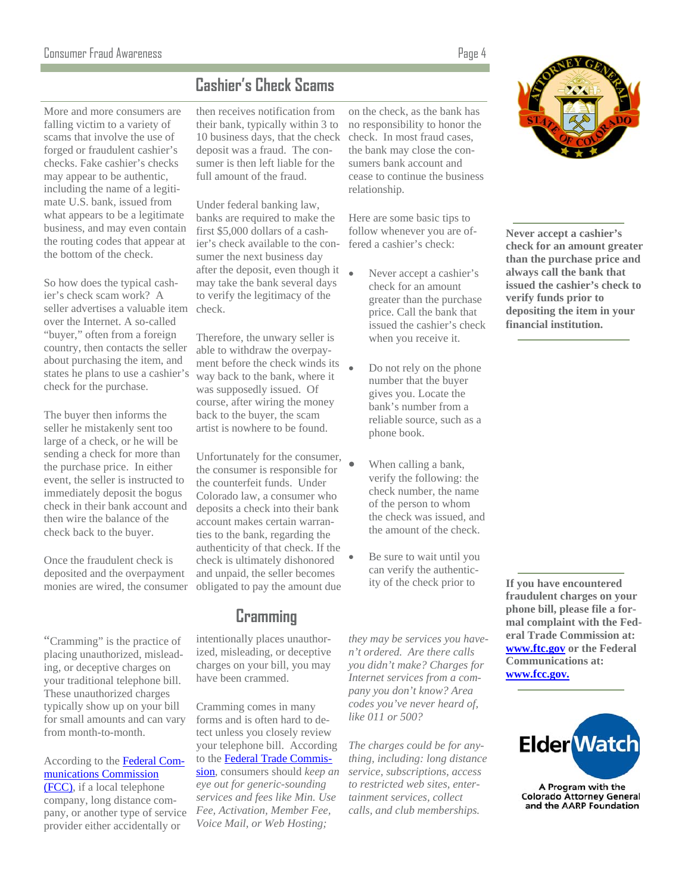#### Consumer Fraud Awareness Page 4

## **Cashier's Check Scams**

More and more consumers are falling victim to a variety of scams that involve the use of forged or fraudulent cashier's checks. Fake cashier's checks may appear to be authentic, including the name of a legitimate U.S. bank, issued from what appears to be a legitimate business, and may even contain the routing codes that appear at the bottom of the check.

So how does the typical cashier's check scam work? A seller advertises a valuable item check. over the Internet. A so-called "buyer," often from a foreign country, then contacts the seller about purchasing the item, and states he plans to use a cashier's check for the purchase.

The buyer then informs the seller he mistakenly sent too large of a check, or he will be sending a check for more than the purchase price. In either event, the seller is instructed to immediately deposit the bogus check in their bank account and then wire the balance of the check back to the buyer.

Once the fraudulent check is deposited and the overpayment monies are wired, the consumer

"Cramming" is the practice of placing unauthorized, misleading, or deceptive charges on your traditional telephone bill. These unauthorized charges typically show up on your bill for small amounts and can vary from month-to-month.

According to the [Federal Com](http://www.fcc.gov/)[munications Commission](http://www.fcc.gov/)  [\(FCC\),](http://www.fcc.gov/) if a local telephone company, long distance company, or another type of service provider either accidentally or

then receives notification from their bank, typically within 3 to 10 business days, that the check deposit was a fraud. The consumer is then left liable for the full amount of the fraud.

Under federal banking law, banks are required to make the first \$5,000 dollars of a cashier's check available to the consumer the next business day after the deposit, even though it may take the bank several days to verify the legitimacy of the

Therefore, the unwary seller is able to withdraw the overpayment before the check winds its way back to the bank, where it was supposedly issued. Of course, after wiring the money back to the buyer, the scam artist is nowhere to be found.

Unfortunately for the consumer, the consumer is responsible for the counterfeit funds. Under Colorado law, a consumer who deposits a check into their bank account makes certain warranties to the bank, regarding the authenticity of that check. If the check is ultimately dishonored and unpaid, the seller becomes obligated to pay the amount due

## **Cramming**

intentionally places unauthorized, misleading, or deceptive charges on your bill, you may have been crammed.

Cramming comes in many forms and is often hard to detect unless you closely review your telephone bill. According to the[Federal Trade Commis](http://www.ftc.gov/)[sion,](http://www.ftc.gov/bcp/edu/pubs/consumer/products/pro18.shtm) consumers should *keep an eye out for generic-sounding services and fees like Min. Use Fee, Activation, Member Fee, Voice Mail, or Web Hosting;* 

on the check, as the bank has no responsibility to honor the check. In most fraud cases, the bank may close the consumers bank account and cease to continue the business relationship.

Here are some basic tips to follow whenever you are offered a cashier's check:

- Never accept a cashier's check for an amount greater than the purchase price. Call the bank that issued the cashier's check when you receive it.
	- Do not rely on the phone number that the buyer gives you. Locate the bank's number from a reliable source, such as a phone book.
	- When calling a bank, verify the following: the check number, the name of the person to whom the check was issued, and the amount of the check.
	- Be sure to wait until you can verify the authenticity of the check prior to

*they may be services you haven't ordered. Are there calls you didn't make? Charges for Internet services from a company you don't know? Area codes you've never heard of, like 011 or 500?* 

*The charges could be for anything, including: long distance service, subscriptions, access to restricted web sites, entertainment services, collect calls, and club memberships.* 



**Never accept a cashier's check for an amount greater than the purchase price and always call the bank that issued the cashier's check to verify funds prior to depositing the item in your financial institution.** 

**If you have encountered fraudulent charges on your phone bill, please file a formal complaint with the Federal Trade Commission at: www.ftc.gov or the Federal Communications at: www.fcc.gov.**



A Program with the Colorado Attorney General<br>and the AARP Foundation